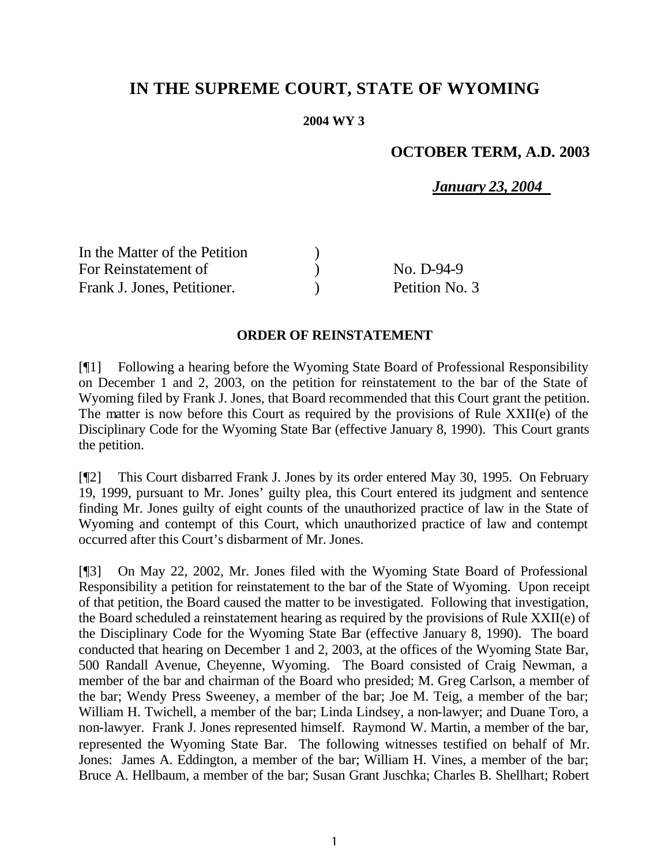# **IN THE SUPREME COURT, STATE OF WYOMING**

#### **2004 WY 3**

# **OCTOBER TERM, A.D. 2003**

*January 23, 2004*

| In the Matter of the Petition |                |
|-------------------------------|----------------|
| For Reinstatement of          | No. D-94-9     |
| Frank J. Jones, Petitioner.   | Petition No. 3 |

#### **ORDER OF REINSTATEMENT**

[¶1] Following a hearing before the Wyoming State Board of Professional Responsibility on December 1 and 2, 2003, on the petition for reinstatement to the bar of the State of Wyoming filed by Frank J. Jones, that Board recommended that this Court grant the petition. The matter is now before this Court as required by the provisions of Rule XXII(e) of the Disciplinary Code for the Wyoming State Bar (effective January 8, 1990). This Court grants the petition.

[¶2] This Court disbarred Frank J. Jones by its order entered May 30, 1995. On February 19, 1999, pursuant to Mr. Jones' guilty plea, this Court entered its judgment and sentence finding Mr. Jones guilty of eight counts of the unauthorized practice of law in the State of Wyoming and contempt of this Court, which unauthorized practice of law and contempt occurred after this Court's disbarment of Mr. Jones.

[¶3] On May 22, 2002, Mr. Jones filed with the Wyoming State Board of Professional Responsibility a petition for reinstatement to the bar of the State of Wyoming. Upon receipt of that petition, the Board caused the matter to be investigated. Following that investigation, the Board scheduled a reinstatement hearing as required by the provisions of Rule XXII(e) of the Disciplinary Code for the Wyoming State Bar (effective January 8, 1990). The board conducted that hearing on December 1 and 2, 2003, at the offices of the Wyoming State Bar, 500 Randall Avenue, Cheyenne, Wyoming. The Board consisted of Craig Newman, a member of the bar and chairman of the Board who presided; M. Greg Carlson, a member of the bar; Wendy Press Sweeney, a member of the bar; Joe M. Teig, a member of the bar; William H. Twichell, a member of the bar; Linda Lindsey, a non-lawyer; and Duane Toro, a non-lawyer. Frank J. Jones represented himself. Raymond W. Martin, a member of the bar, represented the Wyoming State Bar. The following witnesses testified on behalf of Mr. Jones: James A. Eddington, a member of the bar; William H. Vines, a member of the bar; Bruce A. Hellbaum, a member of the bar; Susan Grant Juschka; Charles B. Shellhart; Robert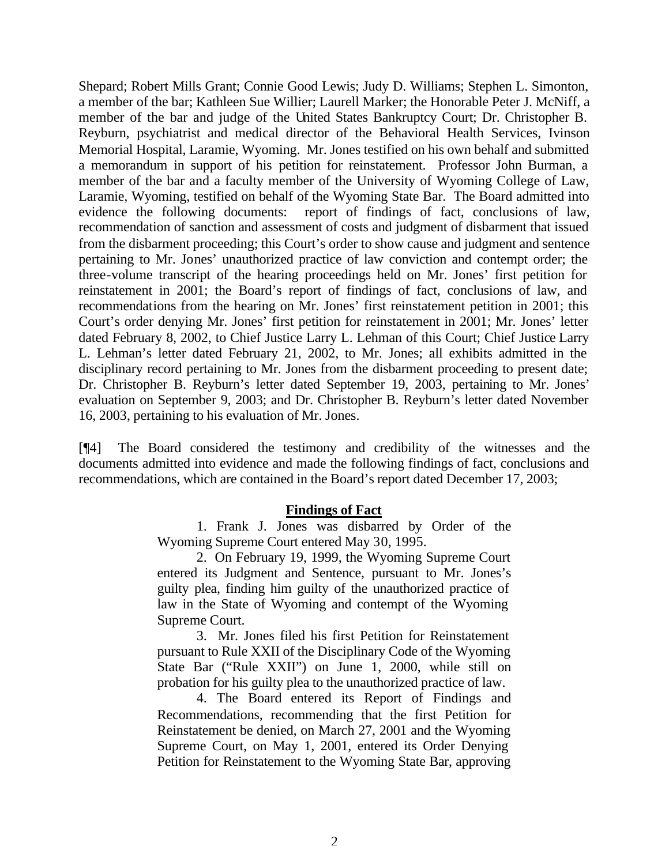Shepard; Robert Mills Grant; Connie Good Lewis; Judy D. Williams; Stephen L. Simonton, a member of the bar; Kathleen Sue Willier; Laurell Marker; the Honorable Peter J. McNiff, a member of the bar and judge of the United States Bankruptcy Court; Dr. Christopher B. Reyburn, psychiatrist and medical director of the Behavioral Health Services, Ivinson Memorial Hospital, Laramie, Wyoming. Mr. Jones testified on his own behalf and submitted a memorandum in support of his petition for reinstatement. Professor John Burman, a member of the bar and a faculty member of the University of Wyoming College of Law, Laramie, Wyoming, testified on behalf of the Wyoming State Bar. The Board admitted into evidence the following documents: report of findings of fact, conclusions of law, recommendation of sanction and assessment of costs and judgment of disbarment that issued from the disbarment proceeding; this Court's order to show cause and judgment and sentence pertaining to Mr. Jones' unauthorized practice of law conviction and contempt order; the three-volume transcript of the hearing proceedings held on Mr. Jones' first petition for reinstatement in 2001; the Board's report of findings of fact, conclusions of law, and recommendations from the hearing on Mr. Jones' first reinstatement petition in 2001; this Court's order denying Mr. Jones' first petition for reinstatement in 2001; Mr. Jones' letter dated February 8, 2002, to Chief Justice Larry L. Lehman of this Court; Chief Justice Larry L. Lehman's letter dated February 21, 2002, to Mr. Jones; all exhibits admitted in the disciplinary record pertaining to Mr. Jones from the disbarment proceeding to present date; Dr. Christopher B. Reyburn's letter dated September 19, 2003, pertaining to Mr. Jones' evaluation on September 9, 2003; and Dr. Christopher B. Reyburn's letter dated November 16, 2003, pertaining to his evaluation of Mr. Jones.

[¶4] The Board considered the testimony and credibility of the witnesses and the documents admitted into evidence and made the following findings of fact, conclusions and recommendations, which are contained in the Board's report dated December 17, 2003;

### **Findings of Fact**

1. Frank J. Jones was disbarred by Order of the Wyoming Supreme Court entered May 30, 1995.

2. On February 19, 1999, the Wyoming Supreme Court entered its Judgment and Sentence, pursuant to Mr. Jones's guilty plea, finding him guilty of the unauthorized practice of law in the State of Wyoming and contempt of the Wyoming Supreme Court.

3. Mr. Jones filed his first Petition for Reinstatement pursuant to Rule XXII of the Disciplinary Code of the Wyoming State Bar ("Rule XXII") on June 1, 2000, while still on probation for his guilty plea to the unauthorized practice of law.

4. The Board entered its Report of Findings and Recommendations, recommending that the first Petition for Reinstatement be denied, on March 27, 2001 and the Wyoming Supreme Court, on May 1, 2001, entered its Order Denying Petition for Reinstatement to the Wyoming State Bar, approving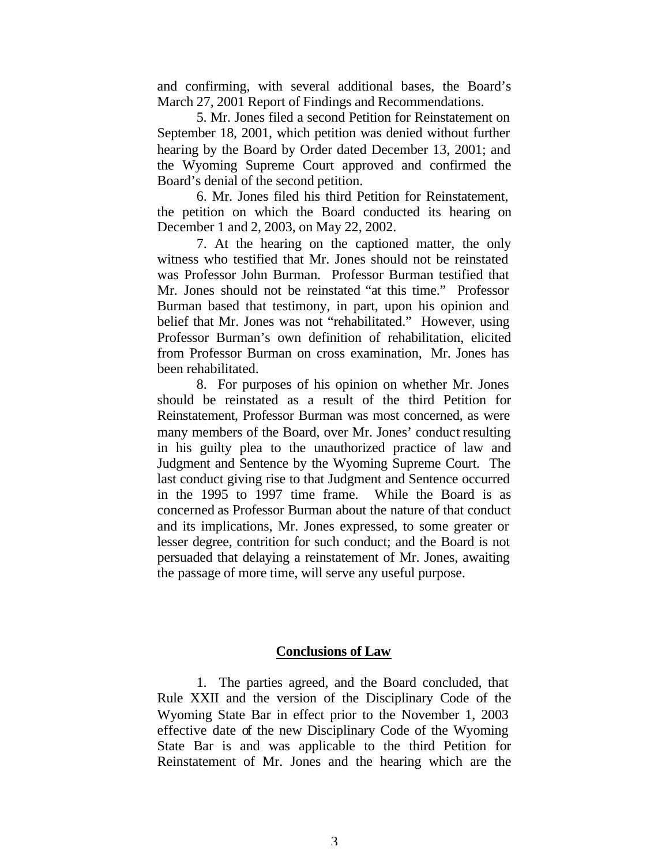and confirming, with several additional bases, the Board's March 27, 2001 Report of Findings and Recommendations.

5. Mr. Jones filed a second Petition for Reinstatement on September 18, 2001, which petition was denied without further hearing by the Board by Order dated December 13, 2001; and the Wyoming Supreme Court approved and confirmed the Board's denial of the second petition.

6. Mr. Jones filed his third Petition for Reinstatement, the petition on which the Board conducted its hearing on December 1 and 2, 2003, on May 22, 2002.

7. At the hearing on the captioned matter, the only witness who testified that Mr. Jones should not be reinstated was Professor John Burman. Professor Burman testified that Mr. Jones should not be reinstated "at this time." Professor Burman based that testimony, in part, upon his opinion and belief that Mr. Jones was not "rehabilitated." However, using Professor Burman's own definition of rehabilitation, elicited from Professor Burman on cross examination, Mr. Jones has been rehabilitated.

8. For purposes of his opinion on whether Mr. Jones should be reinstated as a result of the third Petition for Reinstatement, Professor Burman was most concerned, as were many members of the Board, over Mr. Jones' conduct resulting in his guilty plea to the unauthorized practice of law and Judgment and Sentence by the Wyoming Supreme Court. The last conduct giving rise to that Judgment and Sentence occurred in the 1995 to 1997 time frame. While the Board is as concerned as Professor Burman about the nature of that conduct and its implications, Mr. Jones expressed, to some greater or lesser degree, contrition for such conduct; and the Board is not persuaded that delaying a reinstatement of Mr. Jones, awaiting the passage of more time, will serve any useful purpose.

#### **Conclusions of Law**

1. The parties agreed, and the Board concluded, that Rule XXII and the version of the Disciplinary Code of the Wyoming State Bar in effect prior to the November 1, 2003 effective date of the new Disciplinary Code of the Wyoming State Bar is and was applicable to the third Petition for Reinstatement of Mr. Jones and the hearing which are the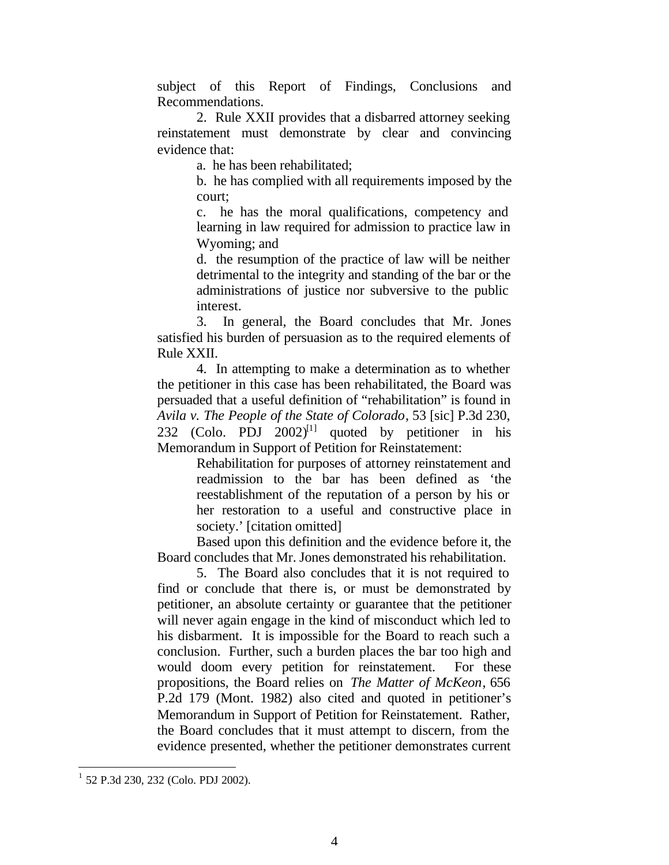subject of this Report of Findings, Conclusions and Recommendations.

2. Rule XXII provides that a disbarred attorney seeking reinstatement must demonstrate by clear and convincing evidence that:

a. he has been rehabilitated;

b. he has complied with all requirements imposed by the court;

c. he has the moral qualifications, competency and learning in law required for admission to practice law in Wyoming; and

d. the resumption of the practice of law will be neither detrimental to the integrity and standing of the bar or the administrations of justice nor subversive to the public interest.

3. In general, the Board concludes that Mr. Jones satisfied his burden of persuasion as to the required elements of Rule XXII.

4. In attempting to make a determination as to whether the petitioner in this case has been rehabilitated, the Board was persuaded that a useful definition of "rehabilitation" is found in *Avila v. The People of the State of Colorado*, 53 [sic] P.3d 230, 232 (Colo. PDJ 2002)<sup>[1]</sup> quoted by petitioner in his Memorandum in Support of Petition for Reinstatement:

> Rehabilitation for purposes of attorney reinstatement and readmission to the bar has been defined as 'the reestablishment of the reputation of a person by his or her restoration to a useful and constructive place in society.' [citation omitted]

Based upon this definition and the evidence before it, the Board concludes that Mr. Jones demonstrated his rehabilitation.

5. The Board also concludes that it is not required to find or conclude that there is, or must be demonstrated by petitioner, an absolute certainty or guarantee that the petitioner will never again engage in the kind of misconduct which led to his disbarment. It is impossible for the Board to reach such a conclusion. Further, such a burden places the bar too high and would doom every petition for reinstatement. For these propositions, the Board relies on *The Matter of McKeon*, 656 P.2d 179 (Mont. 1982) also cited and quoted in petitioner's Memorandum in Support of Petition for Reinstatement. Rather, the Board concludes that it must attempt to discern, from the evidence presented, whether the petitioner demonstrates current

l

<sup>1</sup> 52 P.3d 230, 232 (Colo. PDJ 2002).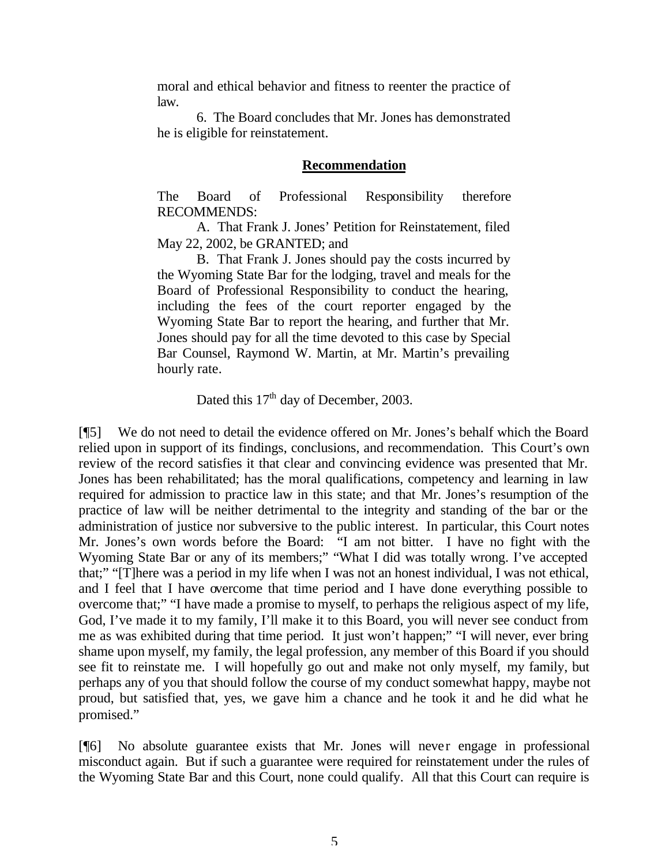moral and ethical behavior and fitness to reenter the practice of law.

6. The Board concludes that Mr. Jones has demonstrated he is eligible for reinstatement.

## **Recommendation**

The Board of Professional Responsibility therefore RECOMMENDS:

A. That Frank J. Jones' Petition for Reinstatement, filed May 22, 2002, be GRANTED; and

B. That Frank J. Jones should pay the costs incurred by the Wyoming State Bar for the lodging, travel and meals for the Board of Professional Responsibility to conduct the hearing, including the fees of the court reporter engaged by the Wyoming State Bar to report the hearing, and further that Mr. Jones should pay for all the time devoted to this case by Special Bar Counsel, Raymond W. Martin, at Mr. Martin's prevailing hourly rate.

Dated this  $17<sup>th</sup>$  day of December, 2003.

[¶5] We do not need to detail the evidence offered on Mr. Jones's behalf which the Board relied upon in support of its findings, conclusions, and recommendation. This Court's own review of the record satisfies it that clear and convincing evidence was presented that Mr. Jones has been rehabilitated; has the moral qualifications, competency and learning in law required for admission to practice law in this state; and that Mr. Jones's resumption of the practice of law will be neither detrimental to the integrity and standing of the bar or the administration of justice nor subversive to the public interest. In particular, this Court notes Mr. Jones's own words before the Board: "I am not bitter. I have no fight with the Wyoming State Bar or any of its members;" "What I did was totally wrong. I've accepted that;" "[T]here was a period in my life when I was not an honest individual, I was not ethical, and I feel that I have overcome that time period and I have done everything possible to overcome that;" "I have made a promise to myself, to perhaps the religious aspect of my life, God, I've made it to my family, I'll make it to this Board, you will never see conduct from me as was exhibited during that time period. It just won't happen;" "I will never, ever bring shame upon myself, my family, the legal profession, any member of this Board if you should see fit to reinstate me. I will hopefully go out and make not only myself, my family, but perhaps any of you that should follow the course of my conduct somewhat happy, maybe not proud, but satisfied that, yes, we gave him a chance and he took it and he did what he promised."

[¶6] No absolute guarantee exists that Mr. Jones will never engage in professional misconduct again. But if such a guarantee were required for reinstatement under the rules of the Wyoming State Bar and this Court, none could qualify. All that this Court can require is